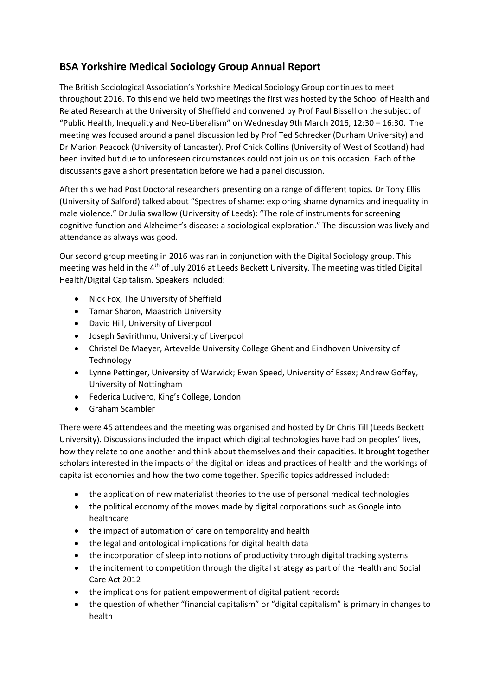## **BSA Yorkshire Medical Sociology Group Annual Report**

The British Sociological Association's Yorkshire Medical Sociology Group continues to meet throughout 2016. To this end we held two meetings the first was hosted by the School of Health and Related Research at the University of Sheffield and convened by Prof Paul Bissell on the subject of "Public Health, Inequality and Neo‐Liberalism" on Wednesday 9th March 2016, 12:30 – 16:30. The meeting was focused around a panel discussion led by Prof Ted Schrecker (Durham University) and Dr Marion Peacock (University of Lancaster). Prof Chick Collins (University of West of Scotland) had been invited but due to unforeseen circumstances could not join us on this occasion. Each of the discussants gave a short presentation before we had a panel discussion.

After this we had Post Doctoral researchers presenting on a range of different topics. Dr Tony Ellis (University of Salford) talked about "Spectres of shame: exploring shame dynamics and inequality in male violence." Dr Julia swallow (University of Leeds): "The role of instruments for screening cognitive function and Alzheimer's disease: a sociological exploration." The discussion was lively and attendance as always was good.

Our second group meeting in 2016 was ran in conjunction with the Digital Sociology group. This meeting was held in the 4<sup>th</sup> of July 2016 at Leeds Beckett University. The meeting was titled Digital Health/Digital Capitalism. Speakers included:

- Nick Fox, The University of Sheffield
- Tamar Sharon, Maastrich University
- David Hill, University of Liverpool
- Joseph Savirithmu, University of Liverpool
- Christel De Maeyer, Artevelde University College Ghent and Eindhoven University of **Technology**
- Lynne Pettinger, University of Warwick; Ewen Speed, University of Essex; Andrew Goffey, University of Nottingham
- Federica Lucivero, King's College, London
- Graham Scambler

There were 45 attendees and the meeting was organised and hosted by Dr Chris Till (Leeds Beckett University). Discussions included the impact which digital technologies have had on peoples' lives, how they relate to one another and think about themselves and their capacities. It brought together scholars interested in the impacts of the digital on ideas and practices of health and the workings of capitalist economies and how the two come together. Specific topics addressed included:

- the application of new materialist theories to the use of personal medical technologies
- the political economy of the moves made by digital corporations such as Google into healthcare
- the impact of automation of care on temporality and health
- the legal and ontological implications for digital health data
- the incorporation of sleep into notions of productivity through digital tracking systems
- the incitement to competition through the digital strategy as part of the Health and Social Care Act 2012
- the implications for patient empowerment of digital patient records
- the question of whether "financial capitalism" or "digital capitalism" is primary in changes to health